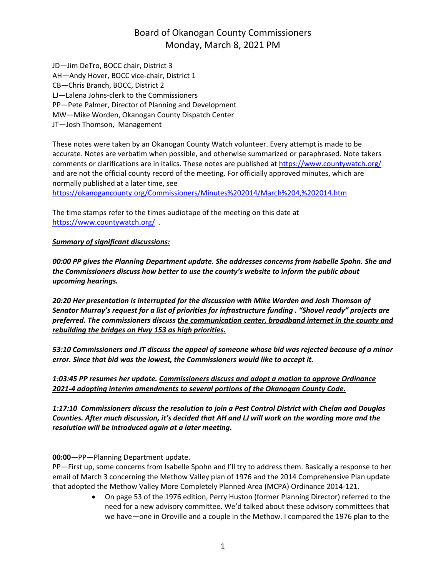JD—Jim DeTro, BOCC chair, District 3 AH—Andy Hover, BOCC vice-chair, District 1 CB—Chris Branch, BOCC, District 2 LJ—Lalena Johns-clerk to the Commissioners PP—Pete Palmer, Director of Planning and Development MW—Mike Worden, Okanogan County Dispatch Center JT—Josh Thomson, Management

These notes were taken by an Okanogan County Watch volunteer. Every attempt is made to be accurate. Notes are verbatim when possible, and otherwise summarized or paraphrased. Note takers comments or clarifications are in italics. These notes are published at <https://www.countywatch.org/> and are not the official county record of the meeting. For officially approved minutes, which are normally published at a later time, see

[https://okanogancounty.org/Commissioners/Minutes%202014/March%204,%202014.htm](https://okanogancounty.org/Commissioners/Minutes%2525202014/March%2525204,%2525202014.htm)

The time stamps refer to the times audiotape of the meeting on this date at <https://www.countywatch.org/>.

#### *Summary of significant discussions:*

*00:00 PP gives the Planning Department update. She addresses concerns from Isabelle Spohn. She and the Commissioners discuss how better to use the county's website to inform the public about upcoming hearings.*

*20:20 Her presentation is interrupted for the discussion with Mike Worden and Josh Thomson of Senator Murray's request for a list of priorities for infrastructure funding . "Shovel ready" projects are preferred. The commissioners discuss the communication center, broadband internet in the county and rebuilding the bridges on Hwy 153 as high priorities.*

*53:10 Commissioners and JT discuss the appeal of someone whose bid was rejected because of a minor error. Since that bid was the lowest, the Commissioners would like to accept it.*

*1:03:45 PP resumes her update. Commissioners discuss and adopt a motion to approve Ordinance 2021-4 adopting interim amendments to several portions of the Okanogan County Code.*

*1:17:10 Commissioners discuss the resolution to join a Pest Control District with Chelan and Douglas Counties. After much discussion, it's decided that AH and LJ will work on the wording more and the resolution will be introduced again at a later meeting.*

**00:00**—PP—Planning Department update.

PP—First up, some concerns from Isabelle Spohn and I'll try to address them. Basically a response to her email of March 3 concerning the Methow Valley plan of 1976 and the 2014 Comprehensive Plan update that adopted the Methow Valley More Completely Planned Area (MCPA) Ordinance 2014-121.

> On page 53 of the 1976 edition, Perry Huston (former Planning Director) referred to the need for a new advisory committee. We'd talked about these advisory committees that we have—one in Oroville and a couple in the Methow. I compared the 1976 plan to the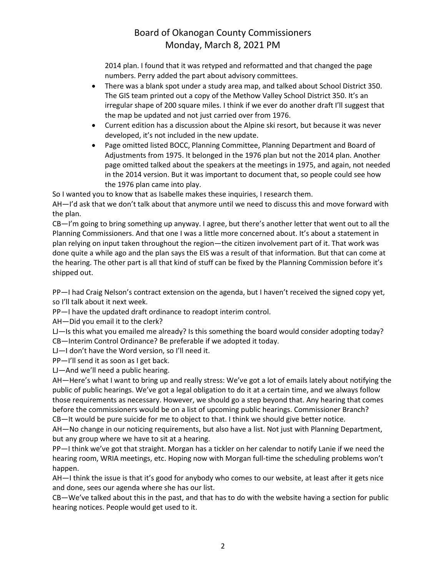2014 plan. I found that it was retyped and reformatted and that changed the page numbers. Perry added the part about advisory committees.

- There was a blank spot under a study area map, and talked about School District 350. The GIS team printed out a copy of the Methow Valley School District 350. It's an irregular shape of 200 square miles. I think if we ever do another draft I'll suggest that the map be updated and not just carried over from 1976.
- Current edition has a discussion about the Alpine ski resort, but because it was never developed, it's not included in the new update.
- Page omitted listed BOCC, Planning Committee, Planning Department and Board of Adjustments from 1975. It belonged in the 1976 plan but not the 2014 plan. Another page omitted talked about the speakers at the meetings in 1975, and again, not needed in the 2014 version. But it was important to document that, so people could see how the 1976 plan came into play.

So I wanted you to know that as Isabelle makes these inquiries, I research them.

AH—I'd ask that we don't talk about that anymore until we need to discuss this and move forward with the plan.

CB—I'm going to bring something up anyway. I agree, but there's another letter that went out to all the Planning Commissioners. And that one I was a little more concerned about. It's about a statement in plan relying on input taken throughout the region—the citizen involvement part of it. That work was done quite a while ago and the plan says the EIS was a result of that information. But that can come at the hearing. The other part is all that kind of stuff can be fixed by the Planning Commission before it's shipped out.

PP—I had Craig Nelson's contract extension on the agenda, but I haven't received the signed copy yet, so I'll talk about it next week.

PP—I have the updated draft ordinance to readopt interim control.

AH—Did you email it to the clerk?

LJ—Is this what you emailed me already? Is this something the board would consider adopting today? CB—Interim Control Ordinance? Be preferable if we adopted it today.

LJ—I don't have the Word version, so I'll need it.

PP—I'll send it as soon as I get back.

LJ—And we'll need a public hearing.

AH—Here's what I want to bring up and really stress: We've got a lot of emails lately about notifying the public of public hearings. We've got a legal obligation to do it at a certain time, and we always follow those requirements as necessary. However, we should go a step beyond that. Any hearing that comes before the commissioners would be on a list of upcoming public hearings. Commissioner Branch? CB—It would be pure suicide for me to object to that. I think we should give better notice.

AH—No change in our noticing requirements, but also have a list. Not just with Planning Department, but any group where we have to sit at a hearing.

PP—I think we've got that straight. Morgan has a tickler on her calendar to notify Lanie if we need the hearing room, WRIA meetings, etc. Hoping now with Morgan full-time the scheduling problems won't happen.

AH—I think the issue is that it's good for anybody who comes to our website, at least after it gets nice and done, sees our agenda where she has our list.

CB—We've talked about this in the past, and that has to do with the website having a section for public hearing notices. People would get used to it.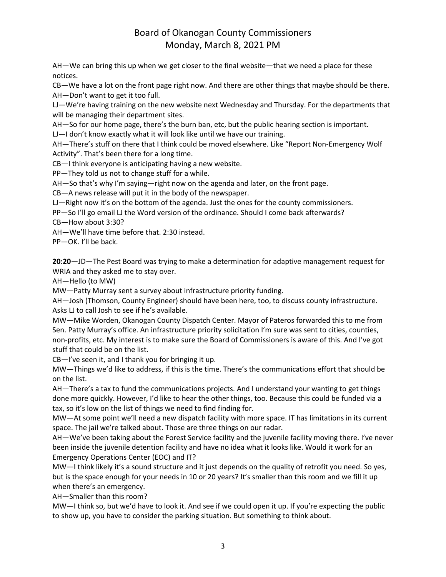AH—We can bring this up when we get closer to the final website—that we need a place for these notices.

CB—We have a lot on the front page right now. And there are other things that maybe should be there. AH—Don't want to get it too full.

LJ—We're having training on the new website next Wednesday and Thursday. For the departments that will be managing their department sites.

AH—So for our home page, there's the burn ban, etc, but the public hearing section is important.

LJ—I don't know exactly what it will look like until we have our training.

AH—There's stuff on there that I think could be moved elsewhere. Like "Report Non-Emergency Wolf Activity". That's been there for a long time.

CB—I think everyone is anticipating having a new website.

PP—They told us not to change stuff for a while.

AH—So that's why I'm saying—right now on the agenda and later, on the front page.

CB—A news release will put it in the body of the newspaper.

LJ—Right now it's on the bottom of the agenda. Just the ones for the county commissioners.

PP—So I'll go email LJ the Word version of the ordinance. Should I come back afterwards?

CB—How about 3:30?

AH—We'll have time before that. 2:30 instead.

PP—OK. I'll be back.

**20:20**—JD—The Pest Board was trying to make a determination for adaptive management request for WRIA and they asked me to stay over.

AH—Hello (to MW)

MW—Patty Murray sent a survey about infrastructure priority funding.

AH—Josh (Thomson, County Engineer) should have been here, too, to discuss county infrastructure. Asks LJ to call Josh to see if he's available.

MW—Mike Worden, Okanogan County Dispatch Center. Mayor of Pateros forwarded this to me from Sen. Patty Murray's office. An infrastructure priority solicitation I'm sure was sent to cities, counties, non-profits, etc. My interest is to make sure the Board of Commissioners is aware of this. And I've got stuff that could be on the list.

CB—I've seen it, and I thank you for bringing it up.

MW—Things we'd like to address, if this is the time. There's the communications effort that should be on the list.

AH—There's a tax to fund the communications projects. And I understand your wanting to get things done more quickly. However, I'd like to hear the other things, too. Because this could be funded via a tax, so it's low on the list of things we need to find finding for.

MW—At some point we'll need a new dispatch facility with more space. IT has limitations in its current space. The jail we're talked about. Those are three things on our radar.

AH—We've been taking about the Forest Service facility and the juvenile facility moving there. I've never been inside the juvenile detention facility and have no idea what it looks like. Would it work for an Emergency Operations Center (EOC) and IT?

MW—I think likely it's a sound structure and it just depends on the quality of retrofit you need. So yes, but is the space enough for your needs in 10 or 20 years? It's smaller than this room and we fill it up when there's an emergency.

AH—Smaller than this room?

MW—I think so, but we'd have to look it. And see if we could open it up. If you're expecting the public to show up, you have to consider the parking situation. But something to think about.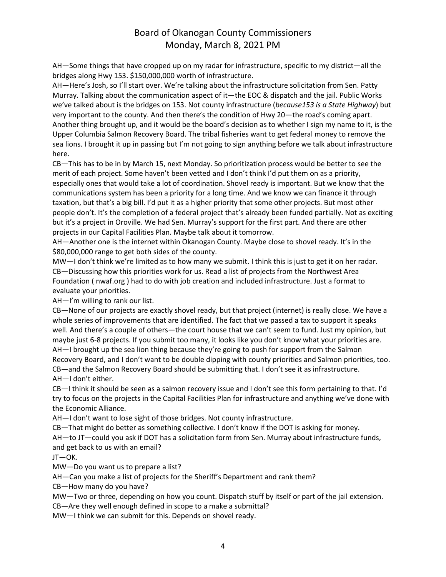AH—Some things that have cropped up on my radar for infrastructure, specific to my district—all the bridges along Hwy 153. \$150,000,000 worth of infrastructure.

AH—Here's Josh, so I'll start over. We're talking about the infrastructure solicitation from Sen. Patty Murray. Talking about the communication aspect of it—the EOC & dispatch and the jail. Public Works we've talked about is the bridges on 153. Not county infrastructure (*because153 is a State Highway*) but very important to the county. And then there's the condition of Hwy 20—the road's coming apart. Another thing brought up, and it would be the board's decision as to whether I sign my name to it, is the Upper Columbia Salmon Recovery Board. The tribal fisheries want to get federal money to remove the sea lions. I brought it up in passing but I'm not going to sign anything before we talk about infrastructure here.

CB—This has to be in by March 15, next Monday. So prioritization process would be better to see the merit of each project. Some haven't been vetted and I don't think I'd put them on as a priority, especially ones that would take a lot of coordination. Shovel ready is important. But we know that the communications system has been a priority for a long time. And we know we can finance it through taxation, but that's a big bill. I'd put it as a higher priority that some other projects. But most other people don't. It's the completion of a federal project that's already been funded partially. Not as exciting but it's a project in Oroville. We had Sen. Murray's support for the first part. And there are other projects in our Capital Facilities Plan. Maybe talk about it tomorrow.

AH—Another one is the internet within Okanogan County. Maybe close to shovel ready. It's in the \$80,000,000 range to get both sides of the county.

MW—I don't think we're limited as to how many we submit. I think this is just to get it on her radar. CB—Discussing how this priorities work for us. Read a list of projects from the Northwest Area Foundation ( nwaf.org ) had to do with job creation and included infrastructure. Just a format to evaluate your priorities.

AH—I'm willing to rank our list.

CB—None of our projects are exactly shovel ready, but that project (internet) is really close. We have a whole series of improvements that are identified. The fact that we passed a tax to support it speaks well. And there's a couple of others—the court house that we can't seem to fund. Just my opinion, but maybe just 6-8 projects. If you submit too many, it looks like you don't know what your priorities are. AH—I brought up the sea lion thing because they're going to push for support from the Salmon Recovery Board, and I don't want to be double dipping with county priorities and Salmon priorities, too. CB—and the Salmon Recovery Board should be submitting that. I don't see it as infrastructure. AH—I don't either.

CB—I think it should be seen as a salmon recovery issue and I don't see this form pertaining to that. I'd try to focus on the projects in the Capital Facilities Plan for infrastructure and anything we've done with the Economic Alliance.

AH—I don't want to lose sight of those bridges. Not county infrastructure.

CB—That might do better as something collective. I don't know if the DOT is asking for money.

AH—to JT—could you ask if DOT has a solicitation form from Sen. Murray about infrastructure funds, and get back to us with an email?

JT—OK.

MW—Do you want us to prepare a list?

AH—Can you make a list of projects for the Sheriff's Department and rank them?

CB—How many do you have?

MW—Two or three, depending on how you count. Dispatch stuff by itself or part of the jail extension.

CB—Are they well enough defined in scope to a make a submittal?

MW—I think we can submit for this. Depends on shovel ready.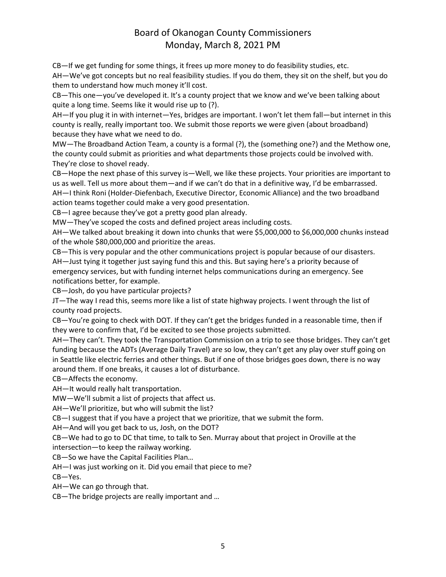CB—If we get funding for some things, it frees up more money to do feasibility studies, etc. AH—We've got concepts but no real feasibility studies. If you do them, they sit on the shelf, but you do them to understand how much money it'll cost.

CB—This one—you've developed it. It's a county project that we know and we've been talking about quite a long time. Seems like it would rise up to (?).

AH—If you plug it in with internet—Yes, bridges are important. I won't let them fall—but internet in this county is really, really important too. We submit those reports we were given (about broadband) because they have what we need to do.

MW—The Broadband Action Team, a county is a formal (?), the (something one?) and the Methow one, the county could submit as priorities and what departments those projects could be involved with. They're close to shovel ready.

CB—Hope the next phase of this survey is—Well, we like these projects. Your priorities are important to us as well. Tell us more about them—and if we can't do that in a definitive way, I'd be embarrassed. AH—I think Roni (Holder-Diefenbach, Executive Director, Economic Alliance) and the two broadband action teams together could make a very good presentation.

CB—I agree because they've got a pretty good plan already.

MW—They've scoped the costs and defined project areas including costs.

AH—We talked about breaking it down into chunks that were \$5,000,000 to \$6,000,000 chunks instead of the whole \$80,000,000 and prioritize the areas.

CB—This is very popular and the other communications project is popular because of our disasters. AH—Just tying it together just saying fund this and this. But saying here's a priority because of emergency services, but with funding internet helps communications during an emergency. See notifications better, for example.

CB—Josh, do you have particular projects?

JT—The way I read this, seems more like a list of state highway projects. I went through the list of county road projects.

CB—You're going to check with DOT. If they can't get the bridges funded in a reasonable time, then if they were to confirm that, I'd be excited to see those projects submitted.

AH—They can't. They took the Transportation Commission on a trip to see those bridges. They can't get funding because the ADTs (Average Daily Travel) are so low, they can't get any play over stuff going on in Seattle like electric ferries and other things. But if one of those bridges goes down, there is no way around them. If one breaks, it causes a lot of disturbance.

CB—Affects the economy.

AH—It would really halt transportation.

MW—We'll submit a list of projects that affect us.

AH—We'll prioritize, but who will submit the list?

CB—I suggest that if you have a project that we prioritize, that we submit the form.

AH—And will you get back to us, Josh, on the DOT?

CB—We had to go to DC that time, to talk to Sen. Murray about that project in Oroville at the intersection—to keep the railway working.

CB—So we have the Capital Facilities Plan…

AH—I was just working on it. Did you email that piece to me?

CB—Yes.

AH—We can go through that.

CB—The bridge projects are really important and …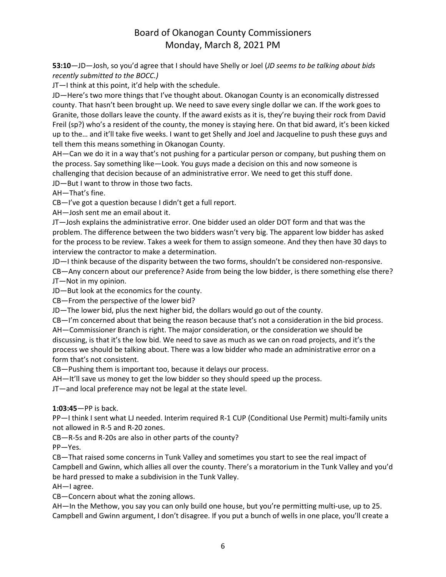**53:10**—JD—Josh, so you'd agree that I should have Shelly or Joel (*JD seems to be talking about bids recently submitted to the BOCC.)*

JT—I think at this point, it'd help with the schedule.

JD—Here's two more things that I've thought about. Okanogan County is an economically distressed county. That hasn't been brought up. We need to save every single dollar we can. If the work goes to Granite, those dollars leave the county. If the award exists as it is, they're buying their rock from David Freil (sp?) who's a resident of the county, the money is staying here. On that bid award, it's been kicked up to the… and it'll take five weeks. I want to get Shelly and Joel and Jacqueline to push these guys and tell them this means something in Okanogan County.

AH—Can we do it in a way that's not pushing for a particular person or company, but pushing them on the process. Say something like—Look. You guys made a decision on this and now someone is challenging that decision because of an administrative error. We need to get this stuff done.

JD—But I want to throw in those two facts.

AH—That's fine.

CB—I've got a question because I didn't get a full report.

AH—Josh sent me an email about it.

JT—Josh explains the administrative error. One bidder used an older DOT form and that was the problem. The difference between the two bidders wasn't very big. The apparent low bidder has asked for the process to be review. Takes a week for them to assign someone. And they then have 30 days to interview the contractor to make a determination.

JD—I think because of the disparity between the two forms, shouldn't be considered non-responsive.

CB—Any concern about our preference? Aside from being the low bidder, is there something else there? JT—Not in my opinion.

JD—But look at the economics for the county.

CB—From the perspective of the lower bid?

JD—The lower bid, plus the next higher bid, the dollars would go out of the county.

CB—I'm concerned about that being the reason because that's not a consideration in the bid process. AH—Commissioner Branch is right. The major consideration, or the consideration we should be discussing, is that it's the low bid. We need to save as much as we can on road projects, and it's the process we should be talking about. There was a low bidder who made an administrative error on a form that's not consistent.

CB—Pushing them is important too, because it delays our process.

AH—It'll save us money to get the low bidder so they should speed up the process.

JT—and local preference may not be legal at the state level.

**1:03:45**—PP is back.

PP—I think I sent what LJ needed. Interim required R-1 CUP (Conditional Use Permit) multi-family units not allowed in R-5 and R-20 zones.

CB—R-5s and R-20s are also in other parts of the county?

PP—Yes.

CB—That raised some concerns in Tunk Valley and sometimes you start to see the real impact of Campbell and Gwinn, which allies all over the county. There's a moratorium in the Tunk Valley and you'd be hard pressed to make a subdivision in the Tunk Valley.

AH—I agree.

CB—Concern about what the zoning allows.

AH—In the Methow, you say you can only build one house, but you're permitting multi-use, up to 25. Campbell and Gwinn argument, I don't disagree. If you put a bunch of wells in one place, you'll create a